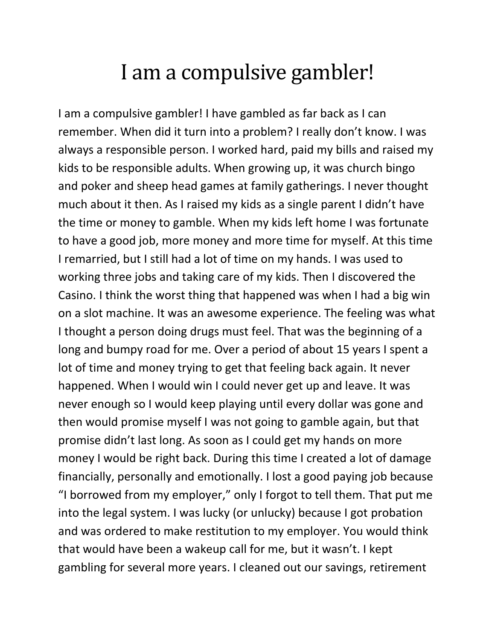## I am a compulsive gambler!

I am a compulsive gambler! I have gambled as far back as I can remember. When did it turn into a problem? I really don't know. I was always a responsible person. I worked hard, paid my bills and raised my kids to be responsible adults. When growing up, it was church bingo and poker and sheep head games at family gatherings. I never thought much about it then. As I raised my kids as a single parent I didn't have the time or money to gamble. When my kids left home I was fortunate to have a good job, more money and more time for myself. At this time I remarried, but I still had a lot of time on my hands. I was used to working three jobs and taking care of my kids. Then I discovered the Casino. I think the worst thing that happened was when I had a big win on a slot machine. It was an awesome experience. The feeling was what I thought a person doing drugs must feel. That was the beginning of a long and bumpy road for me. Over a period of about 15 years I spent a lot of time and money trying to get that feeling back again. It never happened. When I would win I could never get up and leave. It was never enough so I would keep playing until every dollar was gone and then would promise myself I was not going to gamble again, but that promise didn't last long. As soon as I could get my hands on more money I would be right back. During this time I created a lot of damage financially, personally and emotionally. I lost a good paying job because "I borrowed from my employer," only I forgot to tell them. That put me into the legal system. I was lucky (or unlucky) because I got probation and was ordered to make restitution to my employer. You would think that would have been a wakeup call for me, but it wasn't. I kept gambling for several more years. I cleaned out our savings, retirement